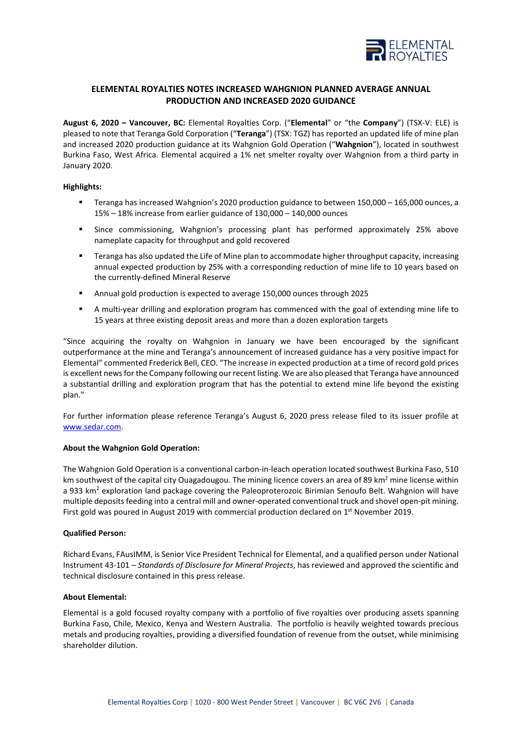

# **ELEMENTAL ROYALTIES NOTES INCREASED WAHGNION PLANNED AVERAGE ANNUAL PRODUCTION AND INCREASED 2020 GUIDANCE**

**August 6, 2020 – Vancouver, BC:** Elemental Royalties Corp. ("**Elemental**" or "the **Company**") (TSX-V: ELE) is pleased to note that Teranga Gold Corporation ("**Teranga**") (TSX: TGZ) has reported an updated life of mine plan and increased 2020 production guidance at its Wahgnion Gold Operation ("**Wahgnion**"), located in southwest Burkina Faso, West Africa. Elemental acquired a 1% net smelter royalty over Wahgnion from a third party in January 2020.

## **Highlights:**

- Teranga has increased Wahgnion's 2020 production guidance to between 150,000 165,000 ounces, a 15% – 18% increase from earlier guidance of 130,000 – 140,000 ounces
- Since commissioning, Wahgnion's processing plant has performed approximately 25% above nameplate capacity for throughput and gold recovered
- Teranga has also updated the Life of Mine plan to accommodate higher throughput capacity, increasing annual expected production by 25% with a corresponding reduction of mine life to 10 years based on the currently-defined Mineral Reserve
- Annual gold production is expected to average 150,000 ounces through 2025
- A multi-year drilling and exploration program has commenced with the goal of extending mine life to 15 years at three existing deposit areas and more than a dozen exploration targets

"Since acquiring the royalty on Wahgnion in January we have been encouraged by the significant outperformance at the mine and Teranga's announcement of increased guidance has a very positive impact for Elemental" commented Frederick Bell, CEO. "The increase in expected production at a time of record gold prices is excellent news for the Company following our recent listing. We are also pleased that Teranga have announced a substantial drilling and exploration program that has the potential to extend mine life beyond the existing plan."

For further information please reference Teranga's August 6, 2020 press release filed to its issuer profile at [www.sedar.com.](http://www.sedar.com/) 

## **About the Wahgnion Gold Operation:**

The Wahgnion Gold Operation is a conventional carbon-in-leach operation located southwest Burkina Faso, 510 km southwest of the capital city Ouagadougou. The mining licence covers an area of 89 km<sup>2</sup> mine license within a 933 km<sup>2</sup> exploration land package covering the Paleoproterozoic Birimian Senoufo Belt. Wahgnion will have multiple deposits feeding into a central mill and owner-operated conventional truck and shovel open-pit mining. First gold was poured in August 2019 with commercial production declared on 1<sup>st</sup> November 2019.

## **Qualified Person:**

Richard Evans, FAusIMM, is Senior Vice President Technical for Elemental, and a qualified person under National Instrument 43-101 – *Standards of Disclosure for Mineral Projects*, has reviewed and approved the scientific and technical disclosure contained in this press release.

## **About Elemental:**

Elemental is a gold focused royalty company with a portfolio of five royalties over producing assets spanning Burkina Faso, Chile, Mexico, Kenya and Western Australia. The portfolio is heavily weighted towards precious metals and producing royalties, providing a diversified foundation of revenue from the outset, while minimising shareholder dilution.